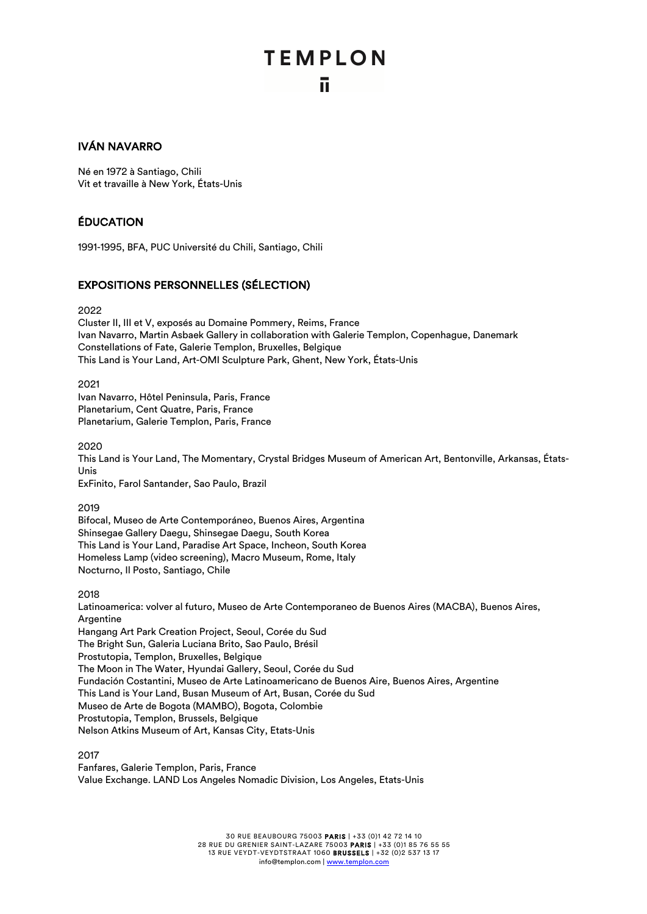### **TEMPLON** ū.

### IVÁN NAVARRO

Né en 1972 à Santiago, Chili Vit et travaille à New York, États-Unis

### ÉDUCATION

1991-1995, BFA, PUC Université du Chili, Santiago, Chili

### EXPOSITIONS PERSONNELLES (SÉLECTION)

2022

Cluster II, III et V, exposés au Domaine Pommery, Reims, France Ivan Navarro, Martin Asbaek Gallery in collaboration with Galerie Templon, Copenhague, Danemark Constellations of Fate, Galerie Templon, Bruxelles, Belgique This Land is Your Land, Art-OMI Sculpture Park, Ghent, New York, États-Unis

2021

Ivan Navarro, Hôtel Peninsula, Paris, France Planetarium, Cent Quatre, Paris, France Planetarium, Galerie Templon, Paris, France

2020

This Land is Your Land, The Momentary, Crystal Bridges Museum of American Art, Bentonville, Arkansas, États-Unis

ExFinito, Farol Santander, Sao Paulo, Brazil

2019

Bifocal, Museo de Arte Contemporáneo, Buenos Aires, Argentina Shinsegae Gallery Daegu, Shinsegae Daegu, South Korea This Land is Your Land, Paradise Art Space, Incheon, South Korea Homeless Lamp (video screening), Macro Museum, Rome, Italy Nocturno, Il Posto, Santiago, Chile

2018

Latinoamerica: volver al futuro, Museo de Arte Contemporaneo de Buenos Aires (MACBA), Buenos Aires, Argentine

Hangang Art Park Creation Project, Seoul, Corée du Sud The Bright Sun, Galeria Luciana Brito, Sao Paulo, Brésil Prostutopia, Templon, Bruxelles, Belgique The Moon in The Water, Hyundai Gallery, Seoul, Corée du Sud Fundación Costantini, Museo de Arte Latinoamericano de Buenos Aire, Buenos Aires, Argentine This Land is Your Land, Busan Museum of Art, Busan, Corée du Sud Museo de Arte de Bogota (MAMBO), Bogota, Colombie Prostutopia, Templon, Brussels, Belgique Nelson Atkins Museum of Art, Kansas City, Etats-Unis

2017

Fanfares, Galerie Templon, Paris, France Value Exchange. LAND Los Angeles Nomadic Division, Los Angeles, Etats-Unis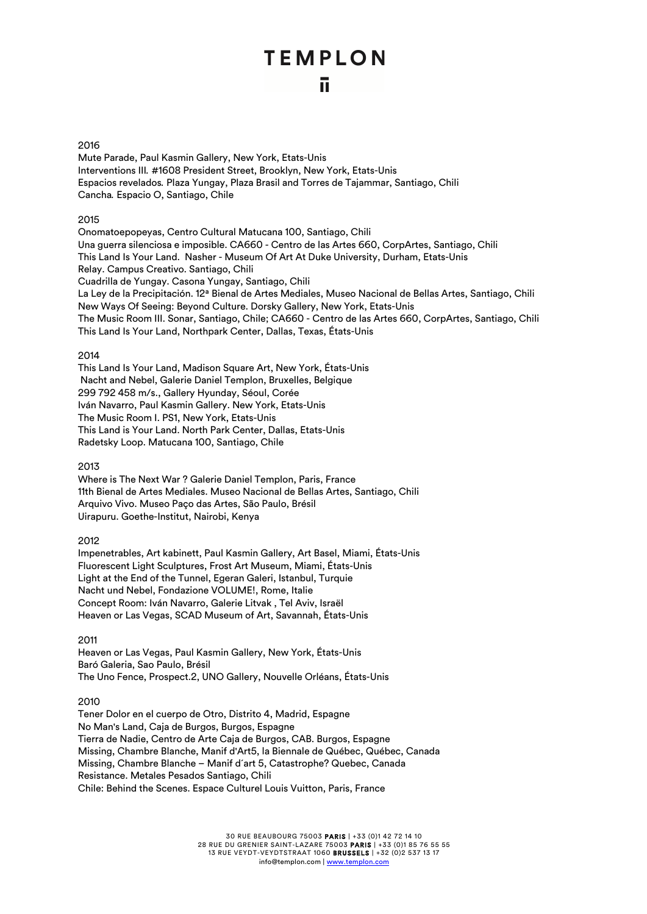### 2016

Mute Parade, Paul Kasmin Gallery, New York, Etats-Unis Interventions III*.* #1608 President Street, Brooklyn, New York, Etats-Unis Espacios revelados*.* Plaza Yungay, Plaza Brasil and Torres de Tajammar, Santiago, Chili Cancha*.* Espacio O, Santiago, Chile

### 2015

Onomatoepopeyas, Centro Cultural Matucana 100, Santiago, Chili Una guerra silenciosa e imposible. CA660 - Centro de las Artes 660, CorpArtes, Santiago, Chili This Land Is Your Land. Nasher - Museum Of Art At Duke University, Durham, Etats-Unis Relay. Campus Creativo. Santiago, Chili Cuadrilla de Yungay. Casona Yungay, Santiago, Chili La Ley de la Precipitación. 12ª Bienal de Artes Mediales, Museo Nacional de Bellas Artes, Santiago, Chili New Ways Of Seeing: Beyond Culture. Dorsky Gallery, New York, Etats-Unis The Music Room III. Sonar, Santiago, Chile; CA660 - Centro de las Artes 660, CorpArtes, Santiago, Chili This Land Is Your Land, Northpark Center, Dallas, Texas, États-Unis

### 2014

This Land Is Your Land, Madison Square Art, New York, États-Unis Nacht and Nebel, Galerie Daniel Templon, Bruxelles, Belgique 299 792 458 m/s., Gallery Hyunday, Séoul, Corée Iván Navarro, Paul Kasmin Gallery. New York, Etats-Unis The Music Room I. PS1, New York, Etats-Unis This Land is Your Land. North Park Center, Dallas, Etats-Unis Radetsky Loop. Matucana 100, Santiago, Chile

### 2013

Where is The Next War ? Galerie Daniel Templon, Paris, France 11th Bienal de Artes Mediales. Museo Nacional de Bellas Artes, Santiago, Chili Arquivo Vivo. Museo Paço das Artes, São Paulo, Brésil Uirapuru. Goethe-Institut, Nairobi, Kenya

### 2012

Impenetrables, Art kabinett, Paul Kasmin Gallery, Art Basel, Miami, États-Unis Fluorescent Light Sculptures, Frost Art Museum, Miami, États-Unis Light at the End of the Tunnel, Egeran Galeri, Istanbul, Turquie Nacht und Nebel, Fondazione VOLUME!, Rome, Italie Concept Room: Iván Navarro, Galerie Litvak , Tel Aviv, Israël Heaven or Las Vegas, SCAD Museum of Art, Savannah, États-Unis

2011

Heaven or Las Vegas, Paul Kasmin Gallery, New York, États-Unis Baró Galeria, Sao Paulo, Brésil The Uno Fence, Prospect.2, UNO Gallery, Nouvelle Orléans, États-Unis

### 2010

Tener Dolor en el cuerpo de Otro, Distrito 4, Madrid, Espagne No Man's Land, Caja de Burgos, Burgos, Espagne Tierra de Nadie, Centro de Arte Caja de Burgos, CAB. Burgos, Espagne Missing, Chambre Blanche, Manif d'Art5, la Biennale de Québec, Québec, Canada Missing, Chambre Blanche – Manif d´art 5, Catastrophe? Quebec, Canada Resistance. Metales Pesados Santiago, Chili Chile: Behind the Scenes. Espace Culturel Louis Vuitton, Paris, France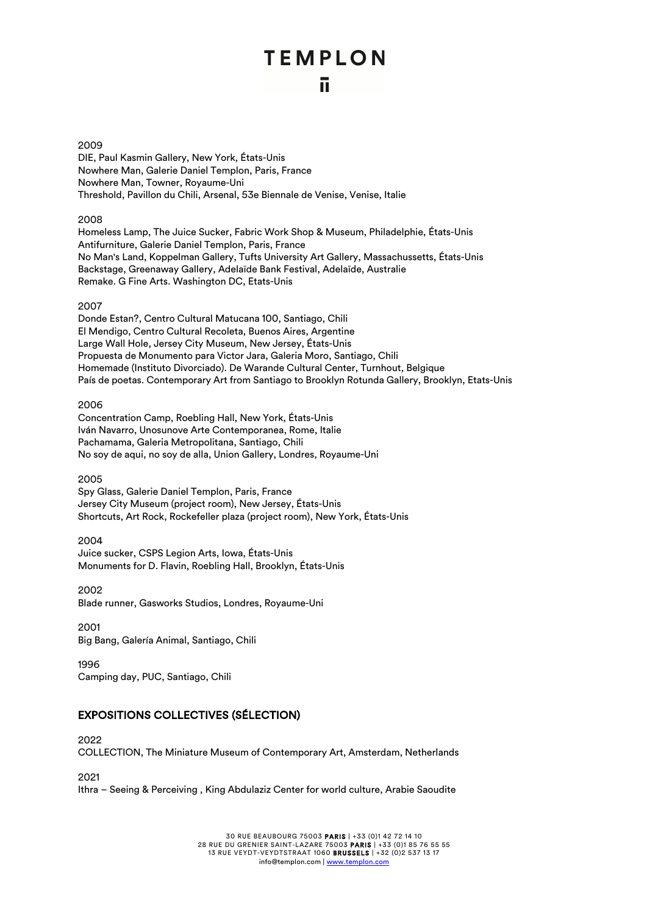#### 2009

DIE, Paul Kasmin Gallery, New York, États-Unis Nowhere Man, Galerie Daniel Templon, Paris, France Nowhere Man, Towner, Royaume-Uni Threshold, Pavillon du Chili, Arsenal, 53e Biennale de Venise, Venise, Italie

### 2008

Homeless Lamp, The Juice Sucker, Fabric Work Shop & Museum, Philadelphie, États-Unis Antifurniture, Galerie Daniel Templon, Paris, France No Man's Land, Koppelman Gallery, Tufts University Art Gallery, Massachussetts, États-Unis Backstage, Greenaway Gallery, Adelaïde Bank Festival, Adelaïde, Australie Remake. G Fine Arts. Washington DC, Etats-Unis

### 2007

Donde Estan?, Centro Cultural Matucana 100, Santiago, Chili El Mendigo, Centro Cultural Recoleta, Buenos Aires, Argentine Large Wall Hole, Jersey City Museum, New Jersey, États-Unis Propuesta de Monumento para Victor Jara, Galeria Moro, Santiago, Chili Homemade (Instituto Divorciado). De Warande Cultural Center, Turnhout, Belgique País de poetas. Contemporary Art from Santiago to Brooklyn Rotunda Gallery, Brooklyn, Etats-Unis

#### 2006

Concentration Camp, Roebling Hall, New York, États-Unis Iván Navarro, Unosunove Arte Contemporanea, Rome, Italie Pachamama, Galeria Metropolitana, Santiago, Chili No soy de aqui, no soy de alla, Union Gallery, Londres, Royaume-Uni

### 2005

Spy Glass, Galerie Daniel Templon, Paris, France Jersey City Museum (project room), New Jersey, États-Unis Shortcuts, Art Rock, Rockefeller plaza (project room), New York, États-Unis

### 2004

Juice sucker, CSPS Legion Arts, Iowa, États-Unis Monuments for D. Flavin, Roebling Hall, Brooklyn, États-Unis

### 2002

Blade runner, Gasworks Studios, Londres, Royaume-Uni

### 2001

Big Bang, Galería Animal, Santiago, Chili

1996 Camping day, PUC, Santiago, Chili

### EXPOSITIONS COLLECTIVES (SÉLECTION)

2022

COLLECTION, The Miniature Museum of Contemporary Art, Amsterdam, Netherlands

2021

Ithra – Seeing & Perceiving , King Abdulaziz Center for world culture, Arabie Saoudite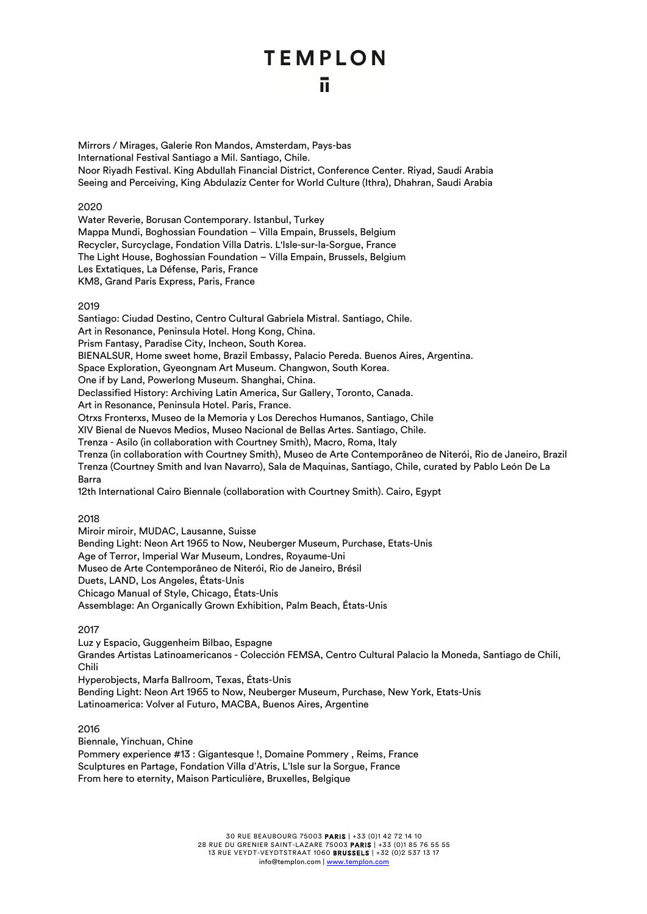Mirrors / Mirages, Galerie Ron Mandos, Amsterdam, Pays-bas International Festival Santiago a Mil. Santiago, Chile. Noor Riyadh Festival. King Abdullah Financial District, Conference Center. Riyad, Saudi Arabia Seeing and Perceiving, King Abdulaziz Center for World Culture (Ithra), Dhahran, Saudi Arabia

### 2020

Water Reverie, Borusan Contemporary. Istanbul, Turkey Mappa Mundi, Boghossian Foundation – Villa Empain, Brussels, Belgium Recycler, Surcyclage, Fondation Villa Datris. L'Isle-sur-la-Sorgue, France The Light House, Boghossian Foundation – Villa Empain, Brussels, Belgium Les Extatiques, La Défense, Paris, France KM8, Grand Paris Express, Paris, France

### 2019

Santiago: Ciudad Destino, Centro Cultural Gabriela Mistral. Santiago, Chile. Art in Resonance, Peninsula Hotel. Hong Kong, China. Prism Fantasy, Paradise City, Incheon, South Korea. BIENALSUR, Home sweet home, Brazil Embassy, Palacio Pereda. Buenos Aires, Argentina. Space Exploration, Gyeongnam Art Museum. Changwon, South Korea. One if by Land, Powerlong Museum. Shanghai, China. Declassified History: Archiving Latin America, Sur Gallery, Toronto, Canada. Art in Resonance, Peninsula Hotel. Paris, France. Otrxs Fronterxs, Museo de la Memoria y Los Derechos Humanos, Santiago, Chile XIV Bienal de Nuevos Medios, Museo Nacional de Bellas Artes. Santiago, Chile. Trenza - Asilo (in collaboration with Courtney Smith), Macro, Roma, Italy Trenza (in collaboration with Courtney Smith), Museo de Arte Contemporâneo de Niterói, Rio de Janeiro, Brazil Trenza (Courtney Smith and Ivan Navarro), Sala de Maquinas, Santiago, Chile, curated by Pablo León De La Barra

12th International Cairo Biennale (collaboration with Courtney Smith). Cairo, Egypt

### 2018

Miroir miroir, MUDAC, Lausanne, Suisse Bending Light: Neon Art 1965 to Now, Neuberger Museum, Purchase, Etats-Unis Age of Terror, Imperial War Museum, Londres, Royaume-Uni Museo de Arte Contemporâneo de Niterói, Rio de Janeiro, Brésil Duets, LAND, Los Angeles, États-Unis Chicago Manual of Style, Chicago, États-Unis Assemblage: An Organically Grown Exhibition, Palm Beach, États-Unis

### 2017

Luz y Espacio, Guggenheim Bilbao, Espagne Grandes Artistas Latinoamericanos - Colección FEMSA, Centro Cultural Palacio la Moneda, Santiago de Chili, Chili Hyperobjects, Marfa Ballroom, Texas, États-Unis

Bending Light: Neon Art 1965 to Now, Neuberger Museum, Purchase, New York, Etats-Unis Latinoamerica: Volver al Futuro, MACBA, Buenos Aires, Argentine

### 2016

Biennale, Yinchuan, Chine Pommery experience #13 : Gigantesque !, Domaine Pommery , Reims, France Sculptures en Partage, Fondation Villa d'Atris, L'Isle sur la Sorgue, France From here to eternity, Maison Particulière, Bruxelles, Belgique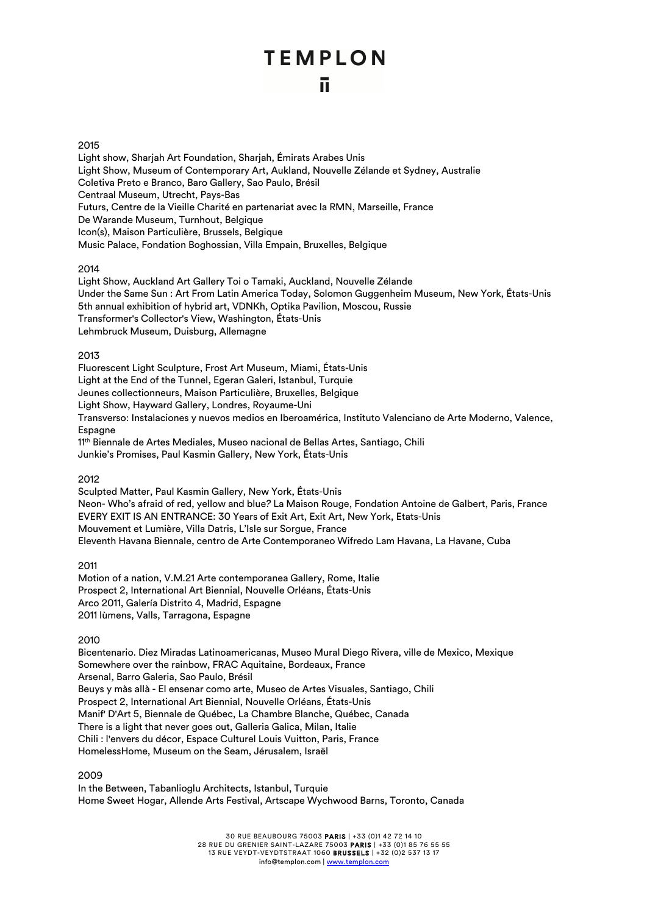### 2015

Light show, Sharjah Art Foundation, Sharjah, Émirats Arabes Unis Light Show, Museum of Contemporary Art, Aukland, Nouvelle Zélande et Sydney, Australie Coletiva Preto e Branco, Baro Gallery, Sao Paulo, Brésil Centraal Museum, Utrecht, Pays-Bas Futurs, Centre de la Vieille Charité en partenariat avec la RMN, Marseille, France De Warande Museum, Turnhout, Belgique Icon(s), Maison Particulière, Brussels, Belgique Music Palace, Fondation Boghossian, Villa Empain, Bruxelles, Belgique

### 2014

Light Show, Auckland Art Gallery Toi o Tamaki, Auckland, Nouvelle Zélande Under the Same Sun : Art From Latin America Today, Solomon Guggenheim Museum, New York, États-Unis 5th annual exhibition of hybrid art, VDNKh, Optika Pavilion, Moscou, Russie Transformer's Collector's View, Washington, États-Unis Lehmbruck Museum, Duisburg, Allemagne

### 2013

Fluorescent Light Sculpture, Frost Art Museum, Miami, États-Unis Light at the End of the Tunnel, Egeran Galeri, Istanbul, Turquie Jeunes collectionneurs, Maison Particulière, Bruxelles, Belgique Light Show, Hayward Gallery, Londres, Royaume-Uni Transverso: Instalaciones y nuevos medios en Iberoamérica, Instituto Valenciano de Arte Moderno, Valence, **Espagne** 11<sup>th</sup> Biennale de Artes Mediales, Museo nacional de Bellas Artes, Santiago, Chili Junkie's Promises, Paul Kasmin Gallery, New York, États-Unis

2012

Sculpted Matter, Paul Kasmin Gallery, New York, États-Unis Neon- Who's afraid of red, yellow and blue*?* La Maison Rouge, Fondation Antoine de Galbert, Paris, France EVERY EXIT IS AN ENTRANCE: 30 Years of Exit Art, Exit Art, New York, Etats-Unis Mouvement et Lumière, Villa Datris, L'Isle sur Sorgue, France Eleventh Havana Biennale, centro de Arte Contemporaneo Wifredo Lam Havana, La Havane, Cuba

2011

Motion of a nation, V.M.21 Arte contemporanea Gallery, Rome, Italie Prospect 2, International Art Biennial, Nouvelle Orléans, États-Unis Arco 2011, Galería Distrito 4, Madrid, Espagne 2011 lùmens, Valls, Tarragona, Espagne

2010

Bicentenario. Diez Miradas Latinoamericanas, Museo Mural Diego Rivera, ville de Mexico, Mexique Somewhere over the rainbow, FRAC Aquitaine, Bordeaux, France Arsenal, Barro Galeria, Sao Paulo, Brésil Beuys y màs allà - El ensenar como arte, Museo de Artes Visuales, Santiago, Chili Prospect 2, International Art Biennial, Nouvelle Orléans, États-Unis Manif' D'Art 5, Biennale de Québec, La Chambre Blanche, Québec, Canada There is a light that never goes out, Galleria Galica, Milan, Italie Chili : l'envers du décor, Espace Culturel Louis Vuitton, Paris, France HomelessHome, Museum on the Seam, Jérusalem, Israël

2009

In the Between, Tabanlioglu Architects, Istanbul, Turquie Home Sweet Hogar, Allende Arts Festival, Artscape Wychwood Barns, Toronto, Canada

> 30 RUE BEAUBOURG 75003 PARIS | +33 (0)1 42 72 14 10 28 RUE DU GRENIER SAINT-LAZARE 75003 PARIS | +33 (0)1 85 76 55 55 13 RUE VEYDT-VEYDTSTRAAT 1060 BRUSSELS | +32 (0)2 537 13 17 info@templon.com | www.templon.com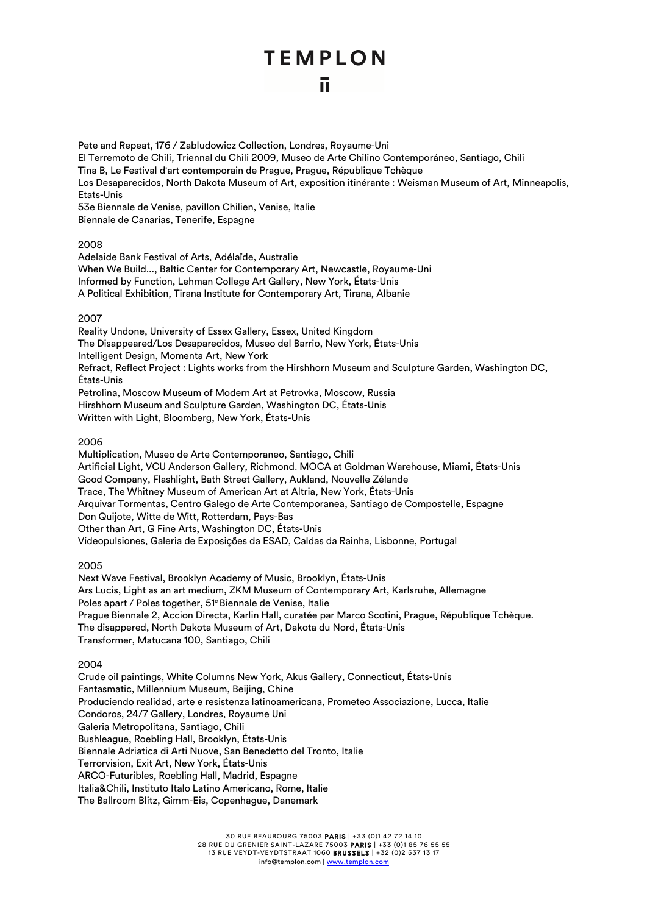ū

Pete and Repeat, 176 / Zabludowicz Collection, Londres, Royaume-Uni

El Terremoto de Chili, Triennal du Chili 2009, Museo de Arte Chilino Contemporáneo, Santiago, Chili

Tina B, Le Festival d'art contemporain de Prague, Prague, République Tchèque

Los Desaparecidos, North Dakota Museum of Art, exposition itinérante : Weisman Museum of Art, Minneapolis, Etats-Unis

53e Biennale de Venise, pavillon Chilien, Venise, Italie

Biennale de Canarias, Tenerife, Espagne

### 2008

Adelaide Bank Festival of Arts, Adélaïde, Australie When We Build..., Baltic Center for Contemporary Art, Newcastle, Royaume-Uni Informed by Function, Lehman College Art Gallery, New York, États-Unis A Political Exhibition, Tirana Institute for Contemporary Art, Tirana, Albanie

### 2007

Reality Undone, University of Essex Gallery, Essex, United Kingdom The Disappeared/Los Desaparecidos, Museo del Barrio, New York, États-Unis Intelligent Design, Momenta Art, New York Refract, Reflect Project : Lights works from the Hirshhorn Museum and Sculpture Garden, Washington DC, États-Unis Petrolina, Moscow Museum of Modern Art at Petrovka, Moscow, Russia Hirshhorn Museum and Sculpture Garden, Washington DC, États-Unis

Written with Light, Bloomberg, New York, États-Unis

### 2006

Multiplication, Museo de Arte Contemporaneo, Santiago, Chili Artificial Light, VCU Anderson Gallery, Richmond. MOCA at Goldman Warehouse, Miami, États-Unis Good Company, Flashlight, Bath Street Gallery, Aukland, Nouvelle Zélande Trace, The Whitney Museum of American Art at Altria, New York, États-Unis Arquivar Tormentas, Centro Galego de Arte Contemporanea, Santiago de Compostelle, Espagne Don Quijote, Witte de Witt, Rotterdam, Pays-Bas Other than Art, G Fine Arts, Washington DC, États-Unis Videopulsiones, Galeria de Exposições da ESAD, Caldas da Rainha, Lisbonne, Portugal

### 2005

Next Wave Festival, Brooklyn Academy of Music, Brooklyn, États-Unis Ars Lucis, Light as an art medium, ZKM Museum of Contemporary Art, Karlsruhe, Allemagne Poles apart / Poles together, 51e Biennale de Venise, Italie Prague Biennale 2, Accion Directa, Karlin Hall, curatée par Marco Scotini, Prague, République Tchèque. The disappered, North Dakota Museum of Art, Dakota du Nord, États-Unis Transformer, Matucana 100, Santiago, Chili

### 2004

Crude oil paintings, White Columns New York, Akus Gallery, Connecticut, États-Unis Fantasmatic, Millennium Museum, Beijing, Chine Produciendo realidad, arte e resistenza latinoamericana, Prometeo Associazione, Lucca, Italie Condoros, 24/7 Gallery, Londres, Royaume Uni Galeria Metropolitana, Santiago, Chili Bushleague, Roebling Hall, Brooklyn, États-Unis Biennale Adriatica di Arti Nuove, San Benedetto del Tronto, Italie Terrorvision, Exit Art, New York, États-Unis ARCO-Futuribles, Roebling Hall, Madrid, Espagne Italia&Chili, Instituto Italo Latino Americano, Rome, Italie The Ballroom Blitz, Gimm-Eis, Copenhague, Danemark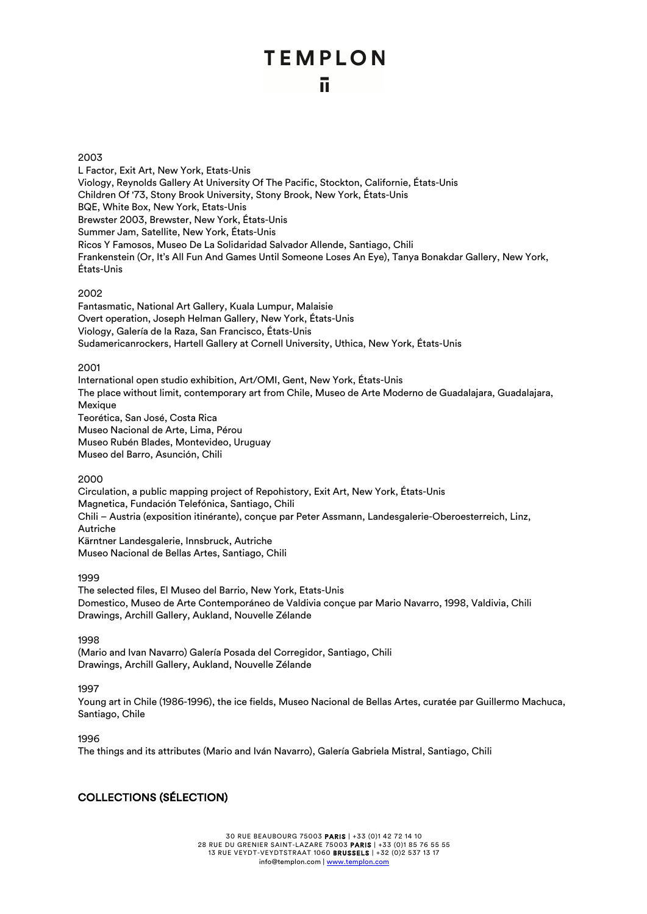### 2003

L Factor, Exit Art, New York, Etats-Unis Viology, Reynolds Gallery At University Of The Pacific, Stockton, Californie, États-Unis Children Of '73, Stony Brook University, Stony Brook, New York, États-Unis BQE, White Box, New York, Etats-Unis Brewster 2003, Brewster, New York, États-Unis Summer Jam, Satellite, New York, États-Unis Ricos Y Famosos, Museo De La Solidaridad Salvador Allende, Santiago, Chili Frankenstein (Or, It's All Fun And Games Until Someone Loses An Eye), Tanya Bonakdar Gallery, New York, États-Unis

### 2002

Fantasmatic, National Art Gallery, Kuala Lumpur, Malaisie Overt operation, Joseph Helman Gallery, New York, États-Unis Viology, Galería de la Raza, San Francisco, États-Unis Sudamericanrockers, Hartell Gallery at Cornell University, Uthica, New York, États-Unis

### 2001

International open studio exhibition, Art/OMI, Gent, New York, États-Unis The place without limit, contemporary art from Chile, Museo de Arte Moderno de Guadalajara, Guadalajara, **Mexique** Teorética, San José, Costa Rica Museo Nacional de Arte, Lima, Pérou Museo Rubén Blades, Montevideo, Uruguay Museo del Barro, Asunción, Chili

### 2000

Circulation, a public mapping project of Repohistory, Exit Art, New York, États-Unis Magnetica, Fundación Telefónica, Santiago, Chili Chili – Austria (exposition itinérante), conçue par Peter Assmann, Landesgalerie-Oberoesterreich, Linz, Autriche Kärntner Landesgalerie, Innsbruck, Autriche Museo Nacional de Bellas Artes, Santiago, Chili

### 1999

The selected files, El Museo del Barrio, New York, Etats-Unis Domestico, Museo de Arte Contemporáneo de Valdivia conçue par Mario Navarro, 1998, Valdivia, Chili Drawings, Archill Gallery, Aukland, Nouvelle Zélande

1998

(Mario and Ivan Navarro) Galería Posada del Corregidor, Santiago, Chili Drawings, Archill Gallery, Aukland, Nouvelle Zélande

### 1997

Young art in Chile (1986-1996), the ice fields, Museo Nacional de Bellas Artes, curatée par Guillermo Machuca, Santiago, Chile

### 1996

The things and its attributes (Mario and Iván Navarro), Galería Gabriela Mistral, Santiago, Chili

### COLLECTIONS (SÉLECTION)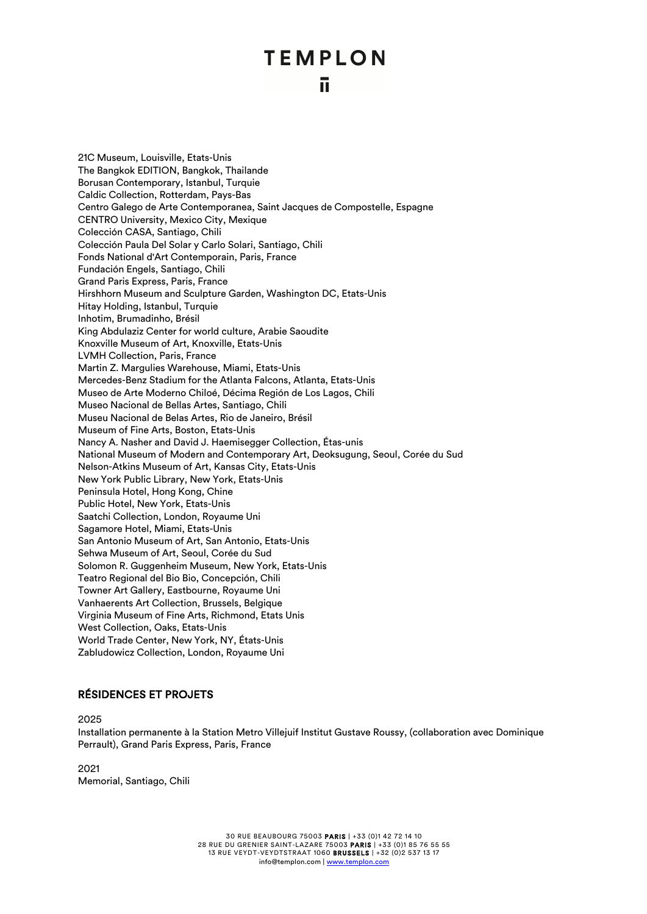21C Museum, Louisville, Etats-Unis The Bangkok EDITION, Bangkok, Thailande Borusan Contemporary, Istanbul, Turquie Caldic Collection, Rotterdam, Pays-Bas Centro Galego de Arte Contemporanea, Saint Jacques de Compostelle, Espagne CENTRO University, Mexico City, Mexique Colección CASA, Santiago, Chili Colección Paula Del Solar y Carlo Solari, Santiago, Chili Fonds National d'Art Contemporain, Paris, France Fundación Engels, Santiago, Chili Grand Paris Express, Paris, France Hirshhorn Museum and Sculpture Garden, Washington DC, Etats-Unis Hitay Holding, Istanbul, Turquie Inhotim, Brumadinho, Brésil King Abdulaziz Center for world culture, Arabie Saoudite Knoxville Museum of Art, Knoxville, Etats-Unis LVMH Collection, Paris, France Martin Z. Margulies Warehouse, Miami, Etats-Unis Mercedes-Benz Stadium for the Atlanta Falcons, Atlanta, Etats-Unis Museo de Arte Moderno Chiloé, Décima Región de Los Lagos, Chili Museo Nacional de Bellas Artes, Santiago, Chili Museu Nacional de Belas Artes, Rio de Janeiro, Brésil Museum of Fine Arts, Boston, Etats-Unis Nancy A. Nasher and David J. Haemisegger Collection, Étas-unis National Museum of Modern and Contemporary Art, Deoksugung, Seoul, Corée du Sud Nelson-Atkins Museum of Art, Kansas City, Etats-Unis New York Public Library, New York, Etats-Unis Peninsula Hotel, Hong Kong, Chine Public Hotel, New York, Etats-Unis Saatchi Collection, London, Royaume Uni Sagamore Hotel, Miami, Etats-Unis San Antonio Museum of Art, San Antonio, Etats-Unis Sehwa Museum of Art, Seoul, Corée du Sud Solomon R. Guggenheim Museum, New York, Etats-Unis Teatro Regional del Bio Bio, Concepción, Chili Towner Art Gallery, Eastbourne, Royaume Uni Vanhaerents Art Collection, Brussels, Belgique Virginia Museum of Fine Arts, Richmond, Etats Unis West Collection, Oaks, Etats-Unis World Trade Center, New York, NY, États-Unis Zabludowicz Collection, London, Royaume Uni

### RÉSIDENCES ET PROJETS

2025

Installation permanente à la Station Metro Villejuif Institut Gustave Roussy, (collaboration avec Dominique Perrault), Grand Paris Express, Paris, France

2021 Memorial, Santiago, Chili